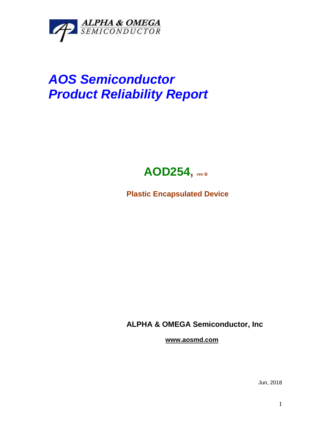

## *AOS Semiconductor Product Reliability Report*



**Plastic Encapsulated Device**

**ALPHA & OMEGA Semiconductor, Inc**

**www.aosmd.com**

Jun, 2018